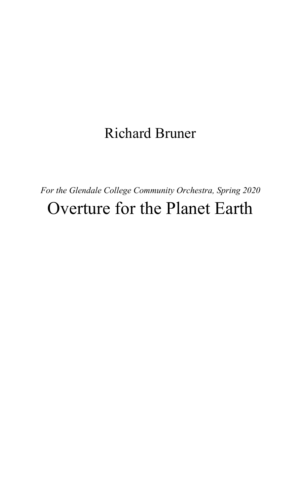## Richard Bruner

*For the Glendale College Community Orchestra, Spring 2020* Overture for the Planet Earth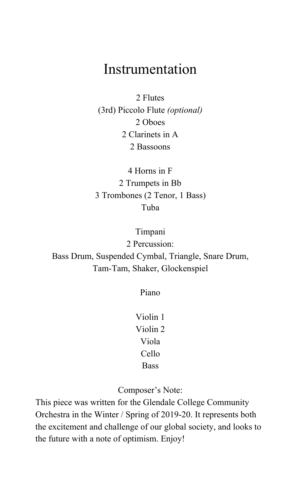## Instrumentation

2 Flutes (3rd) Piccolo Flute *(optional)* 2 Oboes 2 Clarinets in A 2 Bassoons

4 Horns in F 2 Trumpets in Bb 3 Trombones (2 Tenor, 1 Bass) Tuba

Timpani 2 Percussion: Bass Drum, Suspended Cymbal, Triangle, Snare Drum, Tam-Tam, Shaker, Glockenspiel

Piano

Violin 1 Violin 2 Viola Cello Bass

Composer's Note:

This piece was written for the Glendale College Community Orchestra in the Winter / Spring of 2019-20. It represents both the excitement and challenge of our global society, and looks to the future with a note of optimism. Enjoy!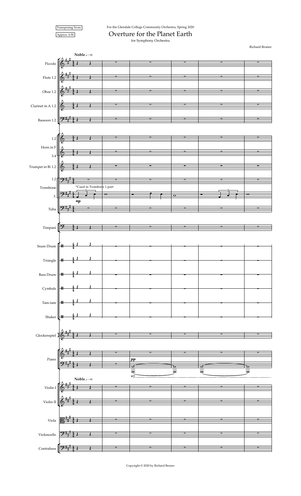Transposing Score

Approx. 6:50 For the Glendale College Community Orchestra, Spring <sup>2020</sup> Overture for the Planet Earth<br><sub>for Symphony Orchestra</sub>

Richard Bruner

° Contrabass  $\left[\frac{1}{2}+\frac{1}{4}\right]$ <u>reternation</u>  $\frac{1}{2}$  $\overline{P}$ Tuba  $\frac{1}{2}$ :  $\frac{1}{4}$   $\frac{4}{4}$  $\overline{12}$   $\overline{1}$   $\overline{1}$   $\overline{2}$   $\overline{2}$   $\overline{2}$   $\overline{2}$   $\overline{2}$   $\overline{2}$   $\overline{2}$   $\overline{2}$   $\overline{2}$   $\overline{2}$   $\overline{2}$   $\overline{2}$   $\overline{2}$   $\overline{2}$   $\overline{2}$   $\overline{2}$   $\overline{2}$   $\overline{2}$   $\overline{2}$   $\overline{2}$   $\overline{2}$   $\overline$  $\frac{1}{2}$  $\left| \cdot \right|$  $\frac{1}{2}$ r<sup>9</sup>##4  $\sqrt{6}$  +  $\frac{7}{4}$  +  $\sqrt{11-4}$ Shaker  $\begin{bmatrix} \mathbf{H} & \mathbf{4} \end{bmatrix}$  ${\frac{2}{9}}$ Piccolo  $\mathbb{E}$ Flute 1.2 Oboe 1.2 Clarinet in A 1.2  $\frac{1}{16}$ Bassoon 1.2  $\frac{9}{2}$ 1.2 Horn in F 3.4 Trumpet in B<sub>b</sub> 1.2 1.2 Trombone<br>3. Timpani  $\left|\frac{\partial f}{\partial x}\right|$ Snare Drum H Triangle ||+ Bass Drum  $Cymbals$   $H$ Tam-tam H Glockenspiel Piano Violin I Violin II Viola  $\frac{1}{8}$   $\frac{1}{4}$ Violoncello **Noble**  $J = 90$ mp pp **Noble**  $J = 90$  $\&$ <sup>##</sup>4} }  $\overline{41}$  $41 \cdot$  $\frac{4}{1}$ <del>9:##4!!!!</del>  $4 \rightarrow$  $41 \cdot$  $\overline{41}$  $4 \qquad 4\overline{1}$  $4 \frac{4}{1}$  $4\lambda$  $4\lambda$  $4\lambda$  $4\lambda$  $4\lambda$  $4\lambda$  $\overline{4}$  $\overline{41}$  $\overline{4}$  $\overline{4}$  $41 \rightarrow$  $\overline{4}$  $2^{\frac{1}{2}}$  $#4!$ ...<br>\*<del>\*</del> و م # <sup>∑</sup> <sup>∑</sup> <sup>∑</sup> <sup>∑</sup> <sup>∑</sup>  $6 + 11$ #  $*^4$   $*$ # <sup>∑</sup> <sup>∑</sup> <sup>∑</sup> <sup>∑</sup> <sup>∑</sup>  $6 + 1$ #  $*^4$   $\rightarrow$ # <sup>∑</sup> <sup>∑</sup> <sup>∑</sup> <sup>∑</sup> <sup>∑</sup> & ∑ ∑ ∑ ∑ ∑ # ∑ ∑ ∑ ∑ ∑ & ∑ ∑ ∑ ∑ ∑ & ∑ ∑ ∑ ∑ ∑ & ∑ ∑ ∑ ∑ ∑  $9:3.74$  $\frac{4}{4}$ # ∑ ∑ ∑ ∑ ∑ ∑ •ን∺ # # Cued in Trombone 1 part  $3$  3  $\frac{4}{4}$ # ∑ ∑ ∑ ∑ ∑ ∑ ? ∑ ∑ ∑ ∑ ∑ / ∑ ∑ ∑ ∑ ∑  $\frac{4}{4}$   $\frac{3}{4}$   $\frac{5}{4}$   $\frac{1}{2}$   $\frac{3}{4}$   $\frac{5}{4}$   $\frac{1}{2}$   $\frac{1}{2}$   $\frac{1}{2}$   $\frac{1}{2}$   $\frac{1}{2}$   $\frac{1}{2}$   $\frac{1}{2}$   $\frac{1}{2}$   $\frac{1}{2}$   $\frac{1}{2}$   $\frac{1}{2}$   $\frac{1}{2}$   $\frac{1}{2}$   $\frac{1}{2}$   $\frac{1}{2}$   $\frac{1}{2}$  / ∑ ∑ ∑ ∑ ∑  $\frac{4}{4}$   $\leftarrow$   $\leftarrow$   $\leftarrow$   $\leftarrow$   $\leftarrow$   $\leftarrow$   $\leftarrow$   $\leftarrow$   $\leftarrow$   $\leftarrow$   $\leftarrow$   $\leftarrow$   $\leftarrow$   $\leftarrow$   $\leftarrow$   $\leftarrow$   $\leftarrow$   $\leftarrow$   $\leftarrow$   $\leftarrow$   $\leftarrow$   $\leftarrow$   $\leftarrow$   $\leftarrow$   $\leftarrow$   $\leftarrow$   $\leftarrow$   $\leftarrow$   $\leftarrow$   $\leftarrow$   $\leftarrow$   $\leftarrow$   $\leftarrow$   $\leftarrow$   $\leftarrow$  / ∑ ∑ ∑ ∑ ∑ / ∑ ∑ ∑ ∑ ∑  $6 + 1 + 1$ #<sup>#</sup> 4 >  $\sharp$ <sup>#</sup>  $\sharp$   $\}$ # <sup>∑</sup> <sup>∑</sup> <sup>∑</sup> <sup>∑</sup> <sup>∑</sup>  $6 + 11$ #<sup>#</sup> 4 >  $*^4$   $\rightarrow$ # <sup>∑</sup> <sup>∑</sup> <sup>∑</sup> <sup>∑</sup> <sup>∑</sup> ?: \*: \* 4 } #\*<del>\*</del>\*  $\frac{p}{2}$   $\frac{p}{2}$  $8^{\frac{1}{10}}$  $6 + 1 + 1$ #<sup>#</sup> 4 >  $\sharp$ <sup>#</sup>  $\sharp$   $\}$ # <sup>∑</sup> <sup>∑</sup> <sup>∑</sup> <sup>∑</sup> <sup>∑</sup>  $6 + 4 + 1$ — د پښتو  $*^4$ # <sup>∑</sup> <sup>∑</sup> <sup>∑</sup> <sup>∑</sup> <sup>∑</sup> # <sup>∑</sup> <sup>∑</sup> <sup>∑</sup> <sup>∑</sup> <sup>∑</sup> # ∑ ∑ ∑ ∑ ∑ # ∑ ∑ ∑ ∑ ∑  $\lambda$   $\lambda$  $\overline{R}$  $\lambda$   $\lambda$  $\overline{\mathcal{E}}$  $\lambda$   $\lambda$  $\overline{R}$  $\lambda$  $\overline{\phantom{a}}$  $\overline{\phantom{a}}$ <sup>œ</sup> <sup>w</sup> <sup>Ó</sup> <sup>œ</sup> <sup>œ</sup> <sup>w</sup> <sup>Ó</sup> <sup>œ</sup>  $\qquad \qquad \bullet$  $\overline{\bullet}$  o where  $\overline{\bullet}$  $\lambda$   $\lambda$  $\lambda$ Œ Œ  $\begin{array}{c|c|c|c|c} \hline \end{array}$  $\begin{array}{c|c|c|c|c} \hline \end{array}$  $\begin{array}{c|c|c|c|c} \hline \end{array}$  $\begin{array}{c|c|c|c|c} \hline \end{array}$  $\overline{\mathcal{E}}$  $\lambda$   $\lambda$  $\overline{\mathcal{E}}$  $\equiv$   $\equiv$  $\delta$  $\frac{1}{\overline{e}}$   $\frac{1}{\overline{e}}$  $\delta$  of  $\delta$  $\equiv$   $\equiv$  $\sum_{i=1}^{n}$  $\equiv$  $\delta$  and  $\delta$  $\overline{R}$  $\begin{array}{c} \uparrow \\ \downarrow \end{array}$  $\lambda$  $\lambda$ 

Copyright © 2020 by Richard Bruner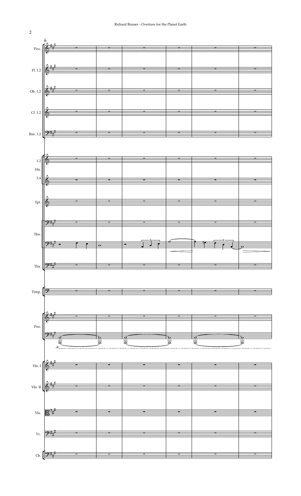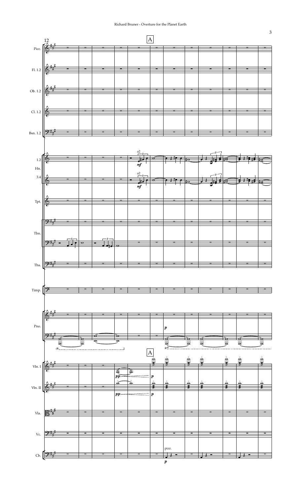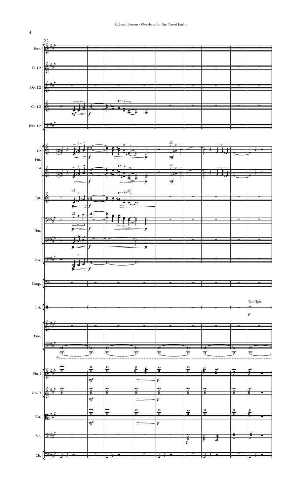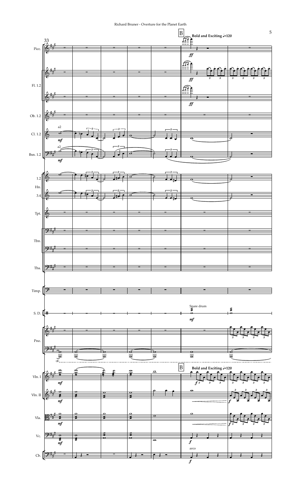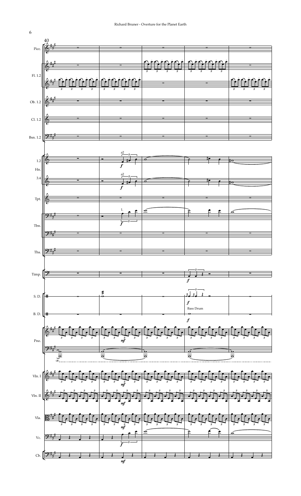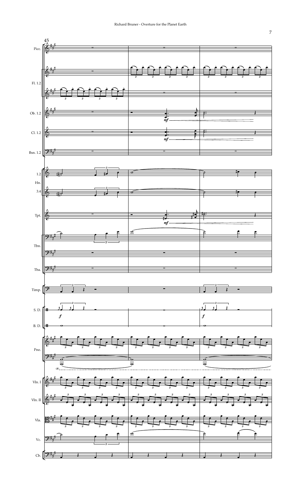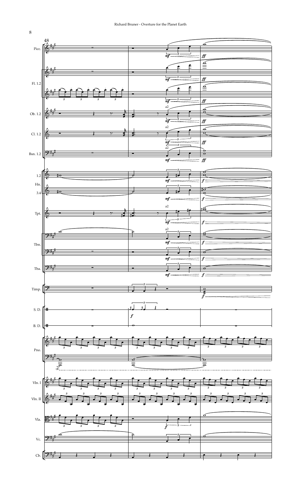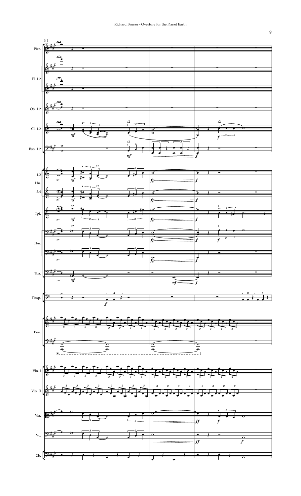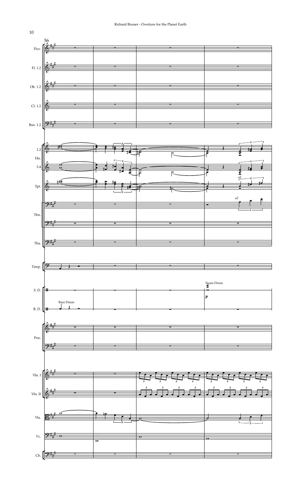

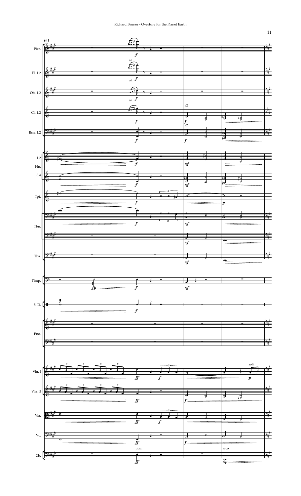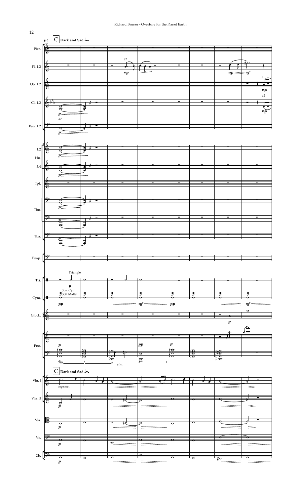

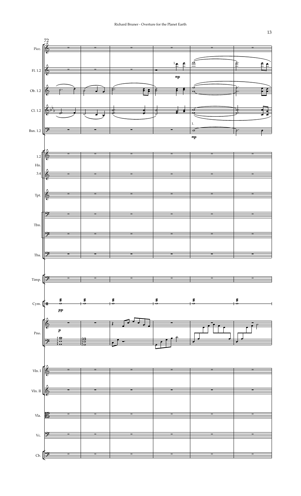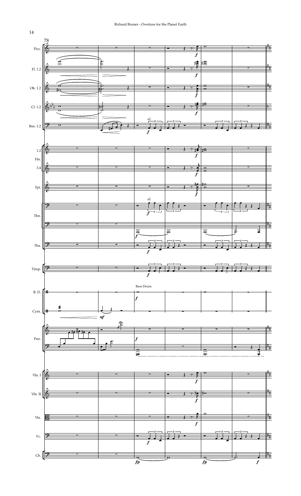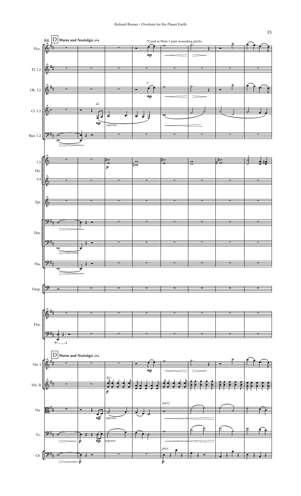## Richard Bruner -Overture for the Planet Earth

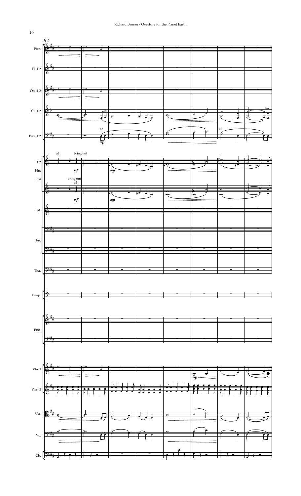

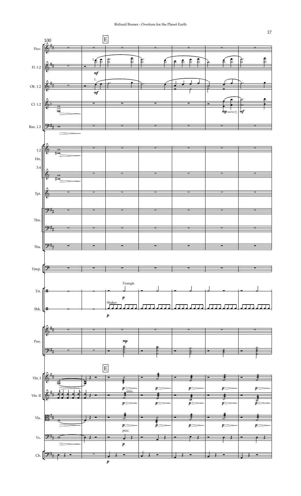Richard Bruner -Overture for the Planet Earth

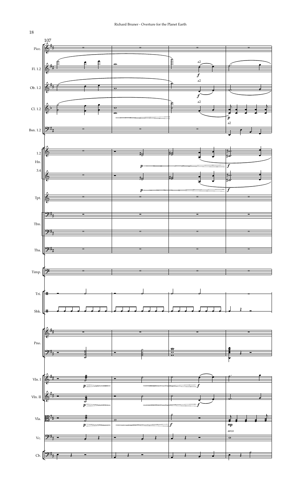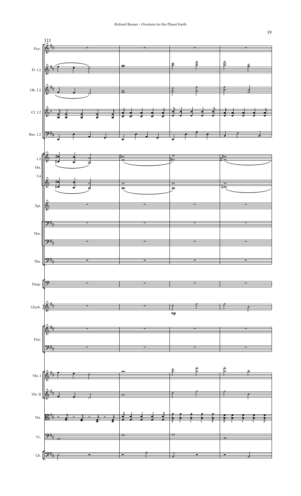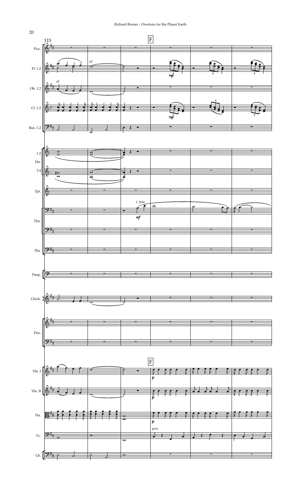

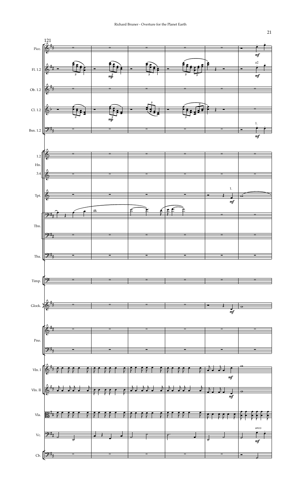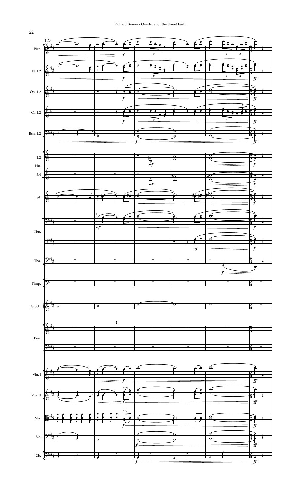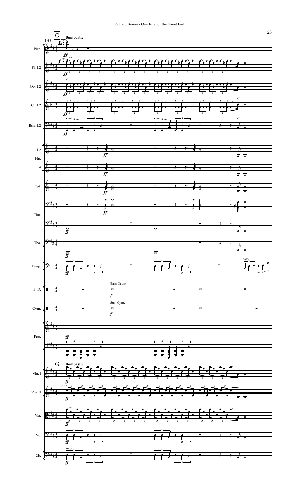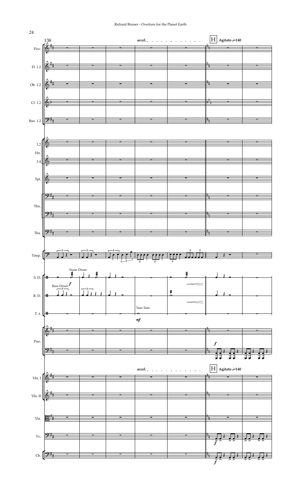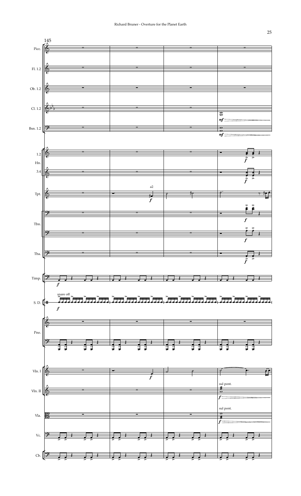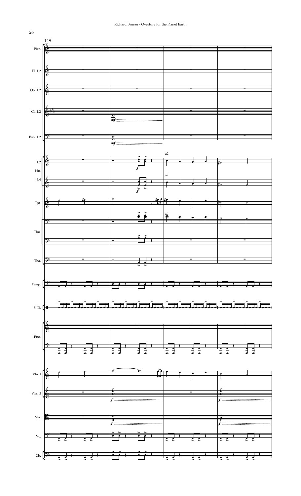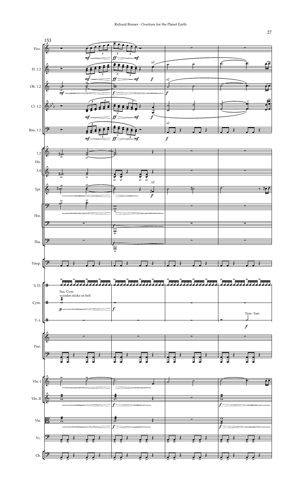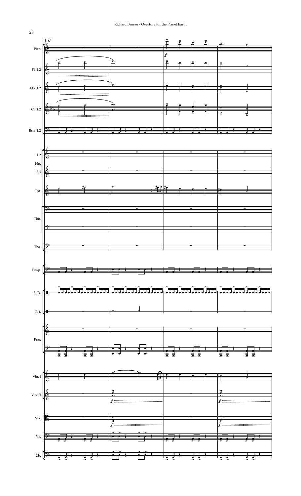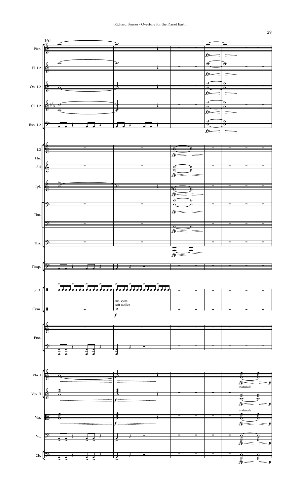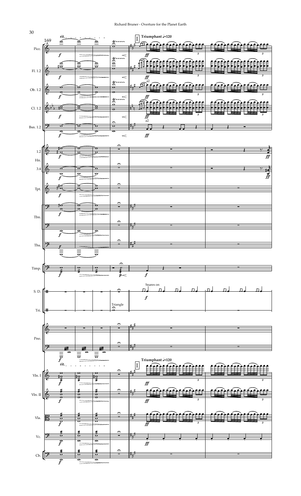

 $30\,$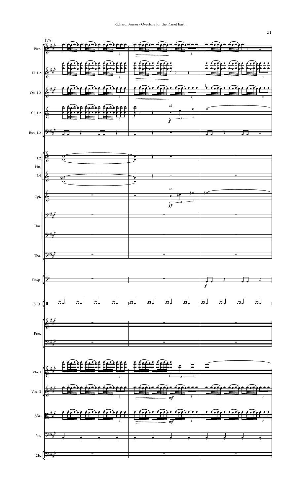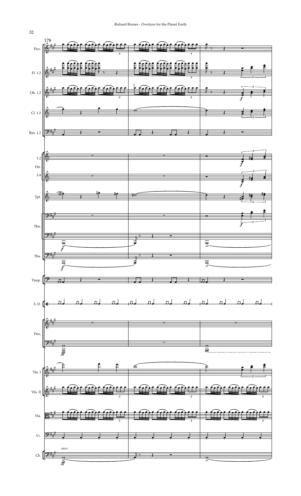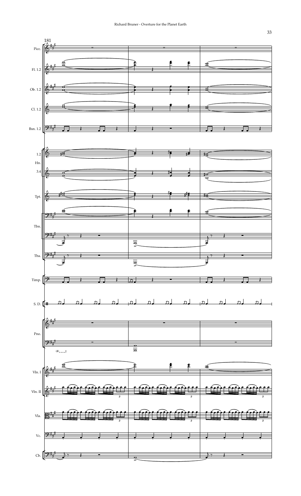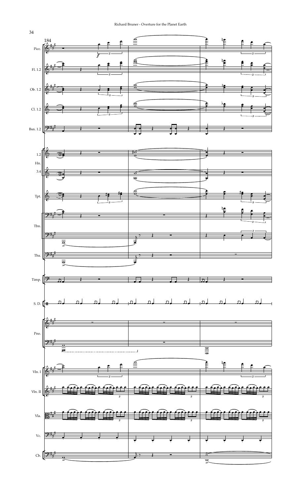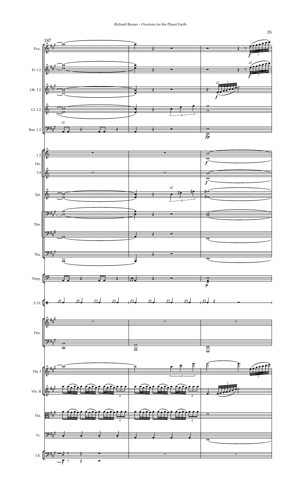